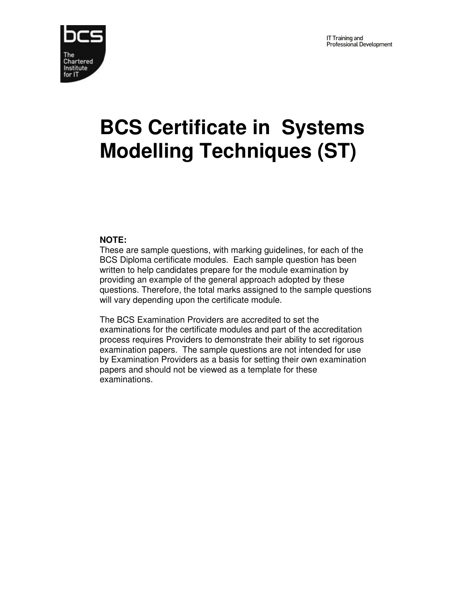

# **BCS Certificate in Systems Modelling Techniques (ST)**

## **NOTE:**

These are sample questions, with marking guidelines, for each of the BCS Diploma certificate modules. Each sample question has been written to help candidates prepare for the module examination by providing an example of the general approach adopted by these questions. Therefore, the total marks assigned to the sample questions will vary depending upon the certificate module.

The BCS Examination Providers are accredited to set the examinations for the certificate modules and part of the accreditation process requires Providers to demonstrate their ability to set rigorous examination papers. The sample questions are not intended for use by Examination Providers as a basis for setting their own examination papers and should not be viewed as a template for these examinations.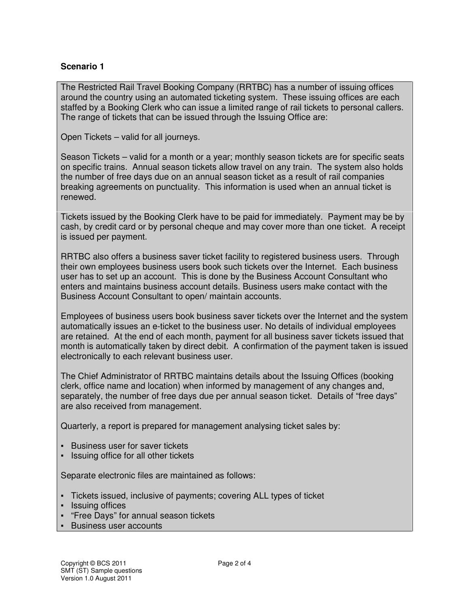## **Scenario 1**

The Restricted Rail Travel Booking Company (RRTBC) has a number of issuing offices around the country using an automated ticketing system. These issuing offices are each staffed by a Booking Clerk who can issue a limited range of rail tickets to personal callers. The range of tickets that can be issued through the Issuing Office are:

Open Tickets – valid for all journeys.

Season Tickets – valid for a month or a year; monthly season tickets are for specific seats on specific trains. Annual season tickets allow travel on any train. The system also holds the number of free days due on an annual season ticket as a result of rail companies breaking agreements on punctuality. This information is used when an annual ticket is renewed.

Tickets issued by the Booking Clerk have to be paid for immediately. Payment may be by cash, by credit card or by personal cheque and may cover more than one ticket. A receipt is issued per payment.

RRTBC also offers a business saver ticket facility to registered business users. Through their own employees business users book such tickets over the Internet. Each business user has to set up an account. This is done by the Business Account Consultant who enters and maintains business account details. Business users make contact with the Business Account Consultant to open/ maintain accounts.

Employees of business users book business saver tickets over the Internet and the system automatically issues an e-ticket to the business user. No details of individual employees are retained. At the end of each month, payment for all business saver tickets issued that month is automatically taken by direct debit. A confirmation of the payment taken is issued electronically to each relevant business user.

The Chief Administrator of RRTBC maintains details about the Issuing Offices (booking clerk, office name and location) when informed by management of any changes and, separately, the number of free days due per annual season ticket. Details of "free days" are also received from management.

Quarterly, a report is prepared for management analysing ticket sales by:

- Business user for saver tickets
- Issuing office for all other tickets

Separate electronic files are maintained as follows:

- Tickets issued, inclusive of payments; covering ALL types of ticket
- Issuing offices
- "Free Days" for annual season tickets
- Business user accounts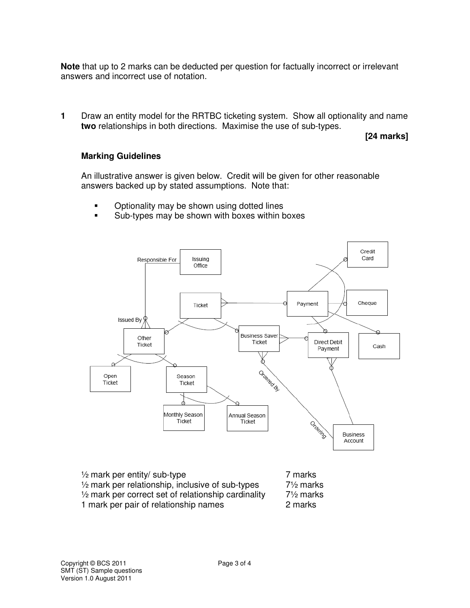**Note** that up to 2 marks can be deducted per question for factually incorrect or irrelevant answers and incorrect use of notation.

**1** Draw an entity model for the RRTBC ticketing system. Show all optionality and name **two** relationships in both directions. Maximise the use of sub-types.

**[24 marks]** 

#### **Marking Guidelines**

An illustrative answer is given below. Credit will be given for other reasonable answers backed up by stated assumptions. Note that:

- Optionality may be shown using dotted lines
- Sub-types may be shown with boxes within boxes



| $\frac{1}{2}$ mark per entity/ sub-type                        | 7 marks              |
|----------------------------------------------------------------|----------------------|
| $\frac{1}{2}$ mark per relationship, inclusive of sub-types    | $7\frac{1}{2}$ marks |
| $\frac{1}{2}$ mark per correct set of relationship cardinality | $7\frac{1}{2}$ marks |
| 1 mark per pair of relationship names                          | 2 marks              |